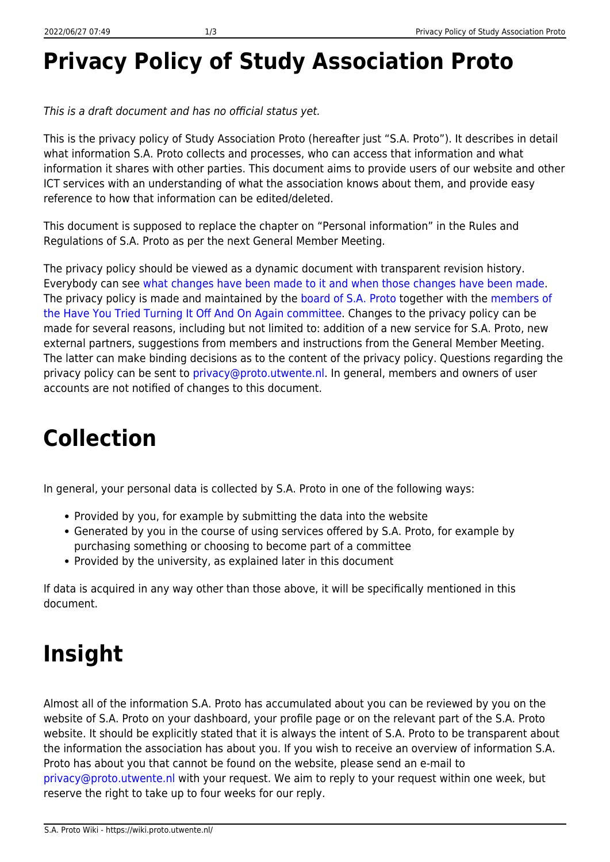# **Privacy Policy of Study Association Proto**

This is a draft document and has no official status yet.

This is the privacy policy of Study Association Proto (hereafter just "S.A. Proto"). It describes in detail what information S.A. Proto collects and processes, who can access that information and what information it shares with other parties. This document aims to provide users of our website and other ICT services with an understanding of what the association knows about them, and provide easy reference to how that information can be edited/deleted.

This document is supposed to replace the chapter on "Personal information" in the Rules and Regulations of S.A. Proto as per the next General Member Meeting.

The privacy policy should be viewed as a dynamic document with transparent revision history. Everybody can see [what changes have been made to it and when those changes have been made.](https://wiki.proto.utwente.nl/ict/privacy/start?do=revisions) The privacy policy is made and maintained by the [board of S.A. Proto](https://www.proto.utwente.nl/page/board) together with the [members of](https://www.proto.utwente.nl/committee/819) [the Have You Tried Turning It Off And On Again committee.](https://www.proto.utwente.nl/committee/819) Changes to the privacy policy can be made for several reasons, including but not limited to: addition of a new service for S.A. Proto, new external partners, suggestions from members and instructions from the General Member Meeting. The latter can make binding decisions as to the content of the privacy policy. Questions regarding the privacy policy can be sent to [privacy@proto.utwente.nl.](mailto:privacy@proto.utwente.nl) In general, members and owners of user accounts are not notified of changes to this document.

### **Collection**

In general, your personal data is collected by S.A. Proto in one of the following ways:

- Provided by you, for example by submitting the data into the website
- Generated by you in the course of using services offered by S.A. Proto, for example by purchasing something or choosing to become part of a committee
- Provided by the university, as explained later in this document

If data is acquired in any way other than those above, it will be specifically mentioned in this document.

### **Insight**

Almost all of the information S.A. Proto has accumulated about you can be reviewed by you on the website of S.A. Proto on your dashboard, your profile page or on the relevant part of the S.A. Proto website. It should be explicitly stated that it is always the intent of S.A. Proto to be transparent about the information the association has about you. If you wish to receive an overview of information S.A. Proto has about you that cannot be found on the website, please send an e-mail to [privacy@proto.utwente.nl](mailto:privacy@proto.utwente.nl) with your request. We aim to reply to your request within one week, but reserve the right to take up to four weeks for our reply.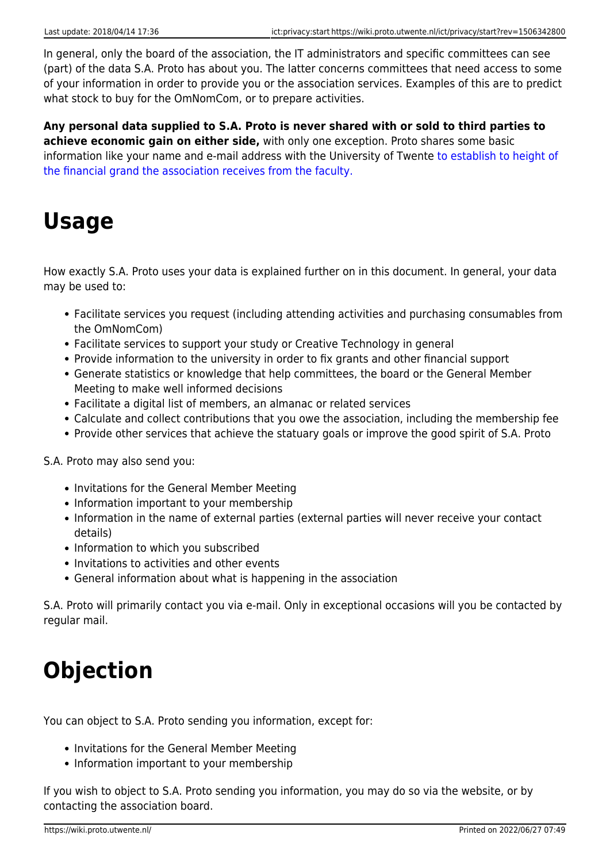In general, only the board of the association, the IT administrators and specific committees can see (part) of the data S.A. Proto has about you. The latter concerns committees that need access to some of your information in order to provide you or the association services. Examples of this are to predict what stock to buy for the OmNomCom, or to prepare activities.

**Any personal data supplied to S.A. Proto is never shared with or sold to third parties to achieve economic gain on either side,** with only one exception. Proto shares some basic information like your name and e-mail address with the University of Twente [to establish to height of](https://wiki.proto.utwente.nl/ict/privacy/details#determining_membership_fees_and_ut_grands) [the financial grand the association receives from the faculty.](https://wiki.proto.utwente.nl/ict/privacy/details#determining_membership_fees_and_ut_grands)

#### **Usage**

How exactly S.A. Proto uses your data is explained further on in this document. In general, your data may be used to:

- Facilitate services you request (including attending activities and purchasing consumables from the OmNomCom)
- Facilitate services to support your study or Creative Technology in general
- Provide information to the university in order to fix grants and other financial support
- Generate statistics or knowledge that help committees, the board or the General Member Meeting to make well informed decisions
- Facilitate a digital list of members, an almanac or related services
- Calculate and collect contributions that you owe the association, including the membership fee
- Provide other services that achieve the statuary goals or improve the good spirit of S.A. Proto

S.A. Proto may also send you:

- Invitations for the General Member Meeting
- Information important to your membership
- Information in the name of external parties (external parties will never receive your contact details)
- Information to which you subscribed
- Invitations to activities and other events
- General information about what is happening in the association

S.A. Proto will primarily contact you via e-mail. Only in exceptional occasions will you be contacted by regular mail.

### **Objection**

You can object to S.A. Proto sending you information, except for:

- Invitations for the General Member Meeting
- Information important to your membership

If you wish to object to S.A. Proto sending you information, you may do so via the website, or by contacting the association board.